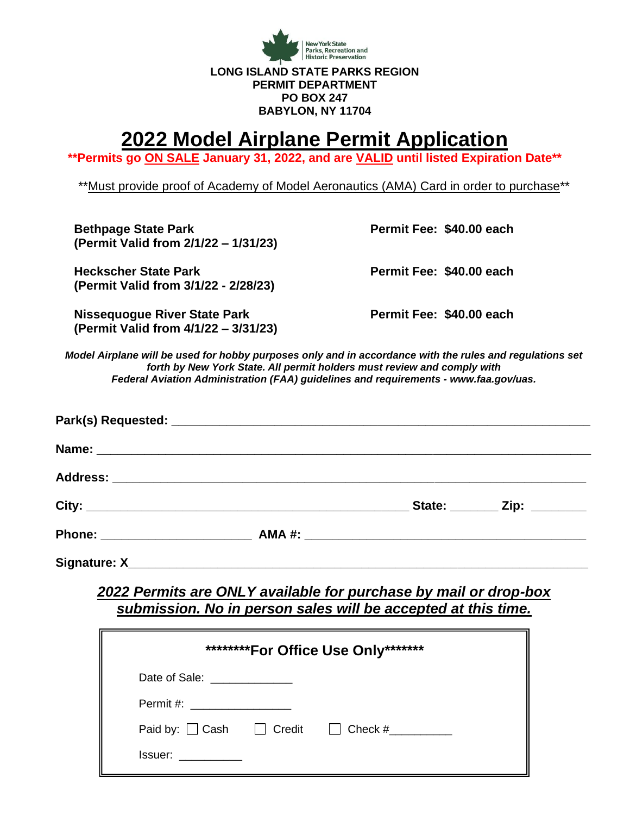

# **2022 Model Airplane Permit Application**

**\*\*Permits go ON SALE January 31, 2022, and are VALID until listed Expiration Date\*\***

\*\*Must provide proof of Academy of Model Aeronautics (AMA) Card in order to purchase\*\*

**Bethpage State Park Permit Fee: \$40.00 each (Permit Valid from 2/1/22 – 1/31/23)**

**Heckscher State Park Permit Fee: \$40.00 each (Permit Valid from 3/1/22 - 2/28/23)**

**Nissequogue River State Park Permit Fee: \$40.00 each (Permit Valid from 4/1/22 – 3/31/23)** 

*Model Airplane will be used for hobby purposes only and in accordance with the rules and regulations set forth by New York State. All permit holders must review and comply with Federal Aviation Administration (FAA) guidelines and requirements - www.faa.gov/uas.*

|  | State: ________ Zip: _______ |
|--|------------------------------|
|  |                              |
|  |                              |

### *2022 Permits are ONLY available for purchase by mail or drop-box submission. No in person sales will be accepted at this time.*

| *********For Office Use Only********                                                                |  |  |  |
|-----------------------------------------------------------------------------------------------------|--|--|--|
| Date of Sale: ______________                                                                        |  |  |  |
| Permit #:                                                                                           |  |  |  |
| Paid by: $\Box$ Cash $\Box$ Credit $\Box$ Check #                                                   |  |  |  |
| Issuer: when the set of the set of the set of the set of the set of the set of the set of the set o |  |  |  |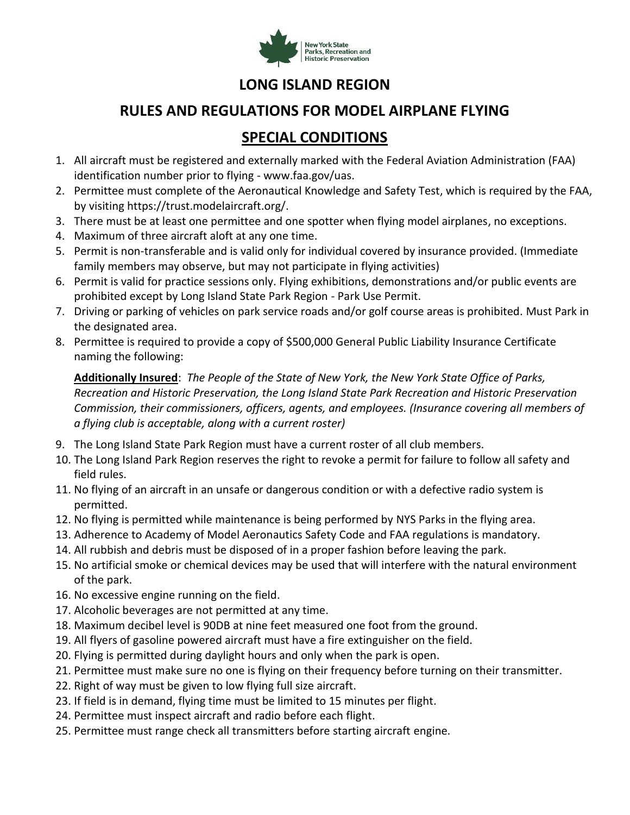

### **LONG ISLAND REGION**

### **RULES AND REGULATIONS FOR MODEL AIRPLANE FLYING**

## **SPECIAL CONDITIONS**

- 1. All aircraft must be registered and externally marked with the Federal Aviation Administration (FAA) identification number prior to flying - www.faa.gov/uas.
- 2. Permittee must complete of the Aeronautical Knowledge and Safety Test, which is required by the FAA, by visiting https://trust.modelaircraft.org/.
- 3. There must be at least one permittee and one spotter when flying model airplanes, no exceptions.
- 4. Maximum of three aircraft aloft at any one time.
- 5. Permit is non-transferable and is valid only for individual covered by insurance provided. (Immediate family members may observe, but may not participate in flying activities)
- 6. Permit is valid for practice sessions only. Flying exhibitions, demonstrations and/or public events are prohibited except by Long Island State Park Region - Park Use Permit.
- 7. Driving or parking of vehicles on park service roads and/or golf course areas is prohibited. Must Park in the designated area.
- 8. Permittee is required to provide a copy of \$500,000 General Public Liability Insurance Certificate naming the following:

**Additionally Insured**: *The People of the State of New York, the New York State Office of Parks, Recreation and Historic Preservation, the Long Island State Park Recreation and Historic Preservation Commission, their commissioners, officers, agents, and employees. (Insurance covering all members of a flying club is acceptable, along with a current roster)*

- 9. The Long Island State Park Region must have a current roster of all club members.
- 10. The Long Island Park Region reserves the right to revoke a permit for failure to follow all safety and field rules.
- 11. No flying of an aircraft in an unsafe or dangerous condition or with a defective radio system is permitted.
- 12. No flying is permitted while maintenance is being performed by NYS Parks in the flying area.
- 13. Adherence to Academy of Model Aeronautics Safety Code and FAA regulations is mandatory.
- 14. All rubbish and debris must be disposed of in a proper fashion before leaving the park.
- 15. No artificial smoke or chemical devices may be used that will interfere with the natural environment of the park.
- 16. No excessive engine running on the field.
- 17. Alcoholic beverages are not permitted at any time.
- 18. Maximum decibel level is 90DB at nine feet measured one foot from the ground.
- 19. All flyers of gasoline powered aircraft must have a fire extinguisher on the field.
- 20. Flying is permitted during daylight hours and only when the park is open.
- 21. Permittee must make sure no one is flying on their frequency before turning on their transmitter.
- 22. Right of way must be given to low flying full size aircraft.
- 23. If field is in demand, flying time must be limited to 15 minutes per flight.
- 24. Permittee must inspect aircraft and radio before each flight.
- 25. Permittee must range check all transmitters before starting aircraft engine.